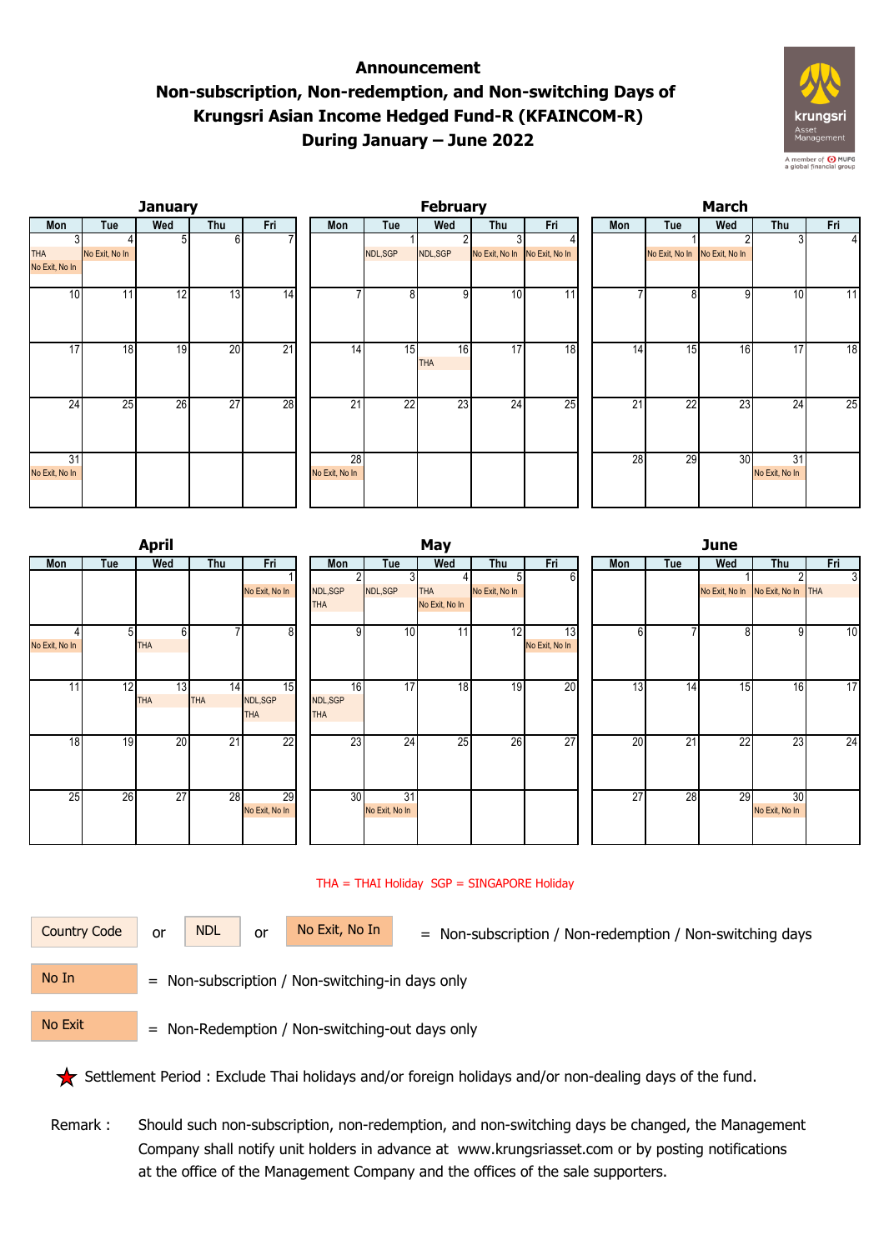## **Announcement Non-subscription, Non-redemption, and Non-switching Days of Krungsri Asian Income Hedged Fund-R (KFAINCOM-R) During January – June 2022**





|                |                | <b>April</b> |            |                | May        |                |                |                |                |  | <b>June</b>     |     |                 |                                   |     |  |
|----------------|----------------|--------------|------------|----------------|------------|----------------|----------------|----------------|----------------|--|-----------------|-----|-----------------|-----------------------------------|-----|--|
| Mon            | Tue            | Wed          | Thu        | Fri            | Mon        | Tue            | Wed            | Thu            | Fri            |  | Mon             | Tue | Wed             | Thu                               | Fri |  |
|                |                |              |            |                |            |                |                | 51             | 6              |  |                 |     |                 |                                   | c.  |  |
|                |                |              |            | No Exit, No In | NDL,SGP    | NDL,SGP        | <b>THA</b>     | No Exit, No In |                |  |                 |     |                 | No Exit, No In No Exit, No In THA |     |  |
|                |                |              |            |                | <b>THA</b> |                | No Exit, No In |                |                |  |                 |     |                 |                                   |     |  |
|                | 5 <sub>l</sub> | $6 \mid$     |            | 8              | 9          | 10             | 11             | 12             | 13             |  | 61              |     | 8               | -91                               | 10  |  |
| No Exit, No In |                | <b>THA</b>   |            |                |            |                |                |                | No Exit, No In |  |                 |     |                 |                                   |     |  |
|                |                |              |            |                |            |                |                |                |                |  |                 |     |                 |                                   |     |  |
| 11             | 12             | 13           | 14         | 15             | 16         | 17             | 18             | 19             | 20             |  | 13 <sub>l</sub> | 14  | 15              | 16 <sub>l</sub>                   | 17  |  |
|                |                | <b>THA</b>   | <b>THA</b> | NDL,SGP        | NDL,SGP    |                |                |                |                |  |                 |     |                 |                                   |     |  |
|                |                |              |            | <b>THA</b>     | <b>THA</b> |                |                |                |                |  |                 |     |                 |                                   |     |  |
|                |                |              |            |                |            |                |                |                |                |  |                 |     |                 |                                   |     |  |
| 18             | 19             | 20           | 21         | 22             | 23         | 24             | 25             | 26             | 27             |  | 20              | 21  | $\overline{22}$ | 23                                | 24  |  |
|                |                |              |            |                |            |                |                |                |                |  |                 |     |                 |                                   |     |  |
|                |                |              |            |                |            |                |                |                |                |  |                 |     |                 |                                   |     |  |
|                |                |              |            |                |            |                |                |                |                |  |                 |     |                 |                                   |     |  |
| 25             | 26             | 27           | 28         | 29             | 30         | 31             |                |                |                |  | $\overline{27}$ | 28  | 29              | 30                                |     |  |
|                |                |              |            | No Exit, No In |            | No Exit, No In |                |                |                |  |                 |     |                 | No Exit, No In                    |     |  |
|                |                |              |            |                |            |                |                |                |                |  |                 |     |                 |                                   |     |  |
|                |                |              |            |                |            |                |                |                |                |  |                 |     |                 |                                   |     |  |

## THA = THAI Holiday SGP = SINGAPORE Holiday

or NDL or

Country Code or NDL or No Exit, No In = Non-subscription / Non-redemption / Non-switching days

 = Non-subscription / Non-switching-in days only No In

No Exit

= Non-Redemption / Non-switching-out days only

Settlement Period : Exclude Thai holidays and/or foreign holidays and/or non-dealing days of the fund.

 Remark : Should such non-subscription, non-redemption, and non-switching days be changed, the Management Company shall notify unit holders in advance at www.krungsriasset.com or by posting notifications at the office of the Management Company and the offices of the sale supporters.